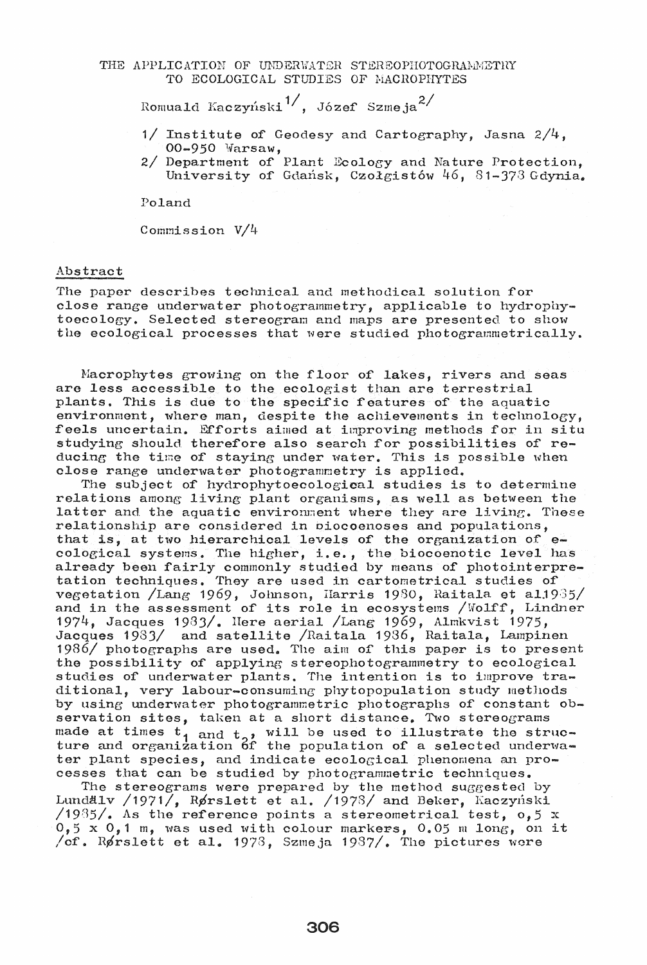## THE APPLICATION OF UNDERWATER STEREOPHOTOGRAMMETRY TO ECOLOGICAL STUDIES OF MACROPHYTES

Romuald Kaczyński<sup>1/</sup>, Józef Szmeja<sup>2/</sup>

- 1/ Institute of Geodesy and Cartography, Jasna 2/4, 00-950 Warsaw,
- 2/ Department of Plant Ecology and Nature Protection,<br>University of Gdańsk, Czołgistów 46, 81-373 Gdynia.

Poland

Commission V/4

## Abstract

The paper describes technical and methodical solution for close range underwater photogrammetry, applicable to hydrophytoecology. Selected stereogram and maps are presented to show the ecological processes that were studied photogrammetrically.

Macrophytes growing on the floor of lakes, rivers and seas are less accessible to the ecologist than are terrestrial plants. This is due to the specific features of the aquatic environment, where man, despite the achievements in technology, feels uncertain. Efforts aimed at improving methods for in situ studying should therefore also search for possibilities of reducing the time of staying under water. This is possible when close range underwater photogrammetry is applied.

The subject of hydrophytoecological studies is to determine relations among living plant organisms, as well as between the latter and the aquatic environment where they are living. These relationship are considered in biocoenoses and populations, that is, at two hierarchical levels of the organization of  $e$ cological systems. The higher, i.e., the biocoenotic level has already been fairly commonly studied by means of photointerpretation techniques. They are used in cartometrical studies of vegetation /Lang 1969, Johnson, Harris 1980, Raitala et al.1935/ and in the assessment of its role in ecosystems /Wolff, Lindner 1974, Jacques 1983/. Here aerial /Lang 1969, Almkvist 1975, Jacques 1983/ and satellite /Raitala 1986, Raitala, Lampinen 1986/ photographs are used. The aim of this paper is to present the possibility of applying stereophotogrammetry to ecological studies of underwater plants. The intention is to improve traditional, very labour-consuming phytopopulation study methods by using underwater photogrammetric photographs of constant observation sites, taken at a short distance. Two stereograms made at times  $t_1$  and  $t_2$ , will be used to illustrate the struc-<br>ture and organization of the population of a selected underwater plant species, and indicate ecological phenomena an processes that can be studied by photogrammetric techniques.

The stereograms were prepared by the method suggested by Lundalv /1971/, Rørslett et al. /1978/ and Beker, Kaczyński<br>/1935/. As the reference points a stereometrical test, 0,5 x  $0,5 \times 0,1$  m, was used with colour markers, 0.05 m long, on it /of. Rørslett et al. 1978, Szmeja 1987/. The pictures were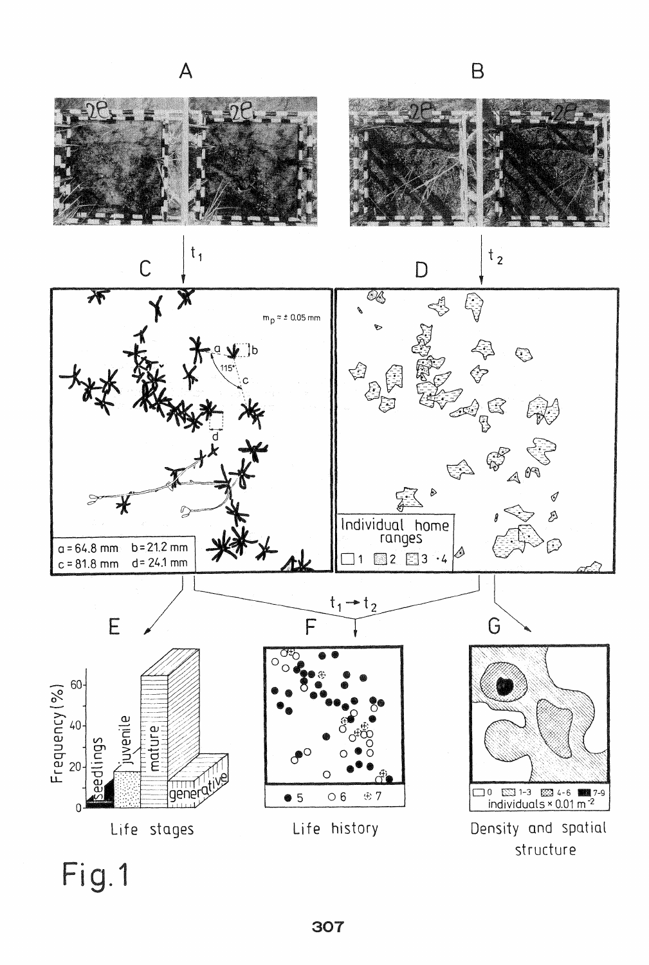

Fig.1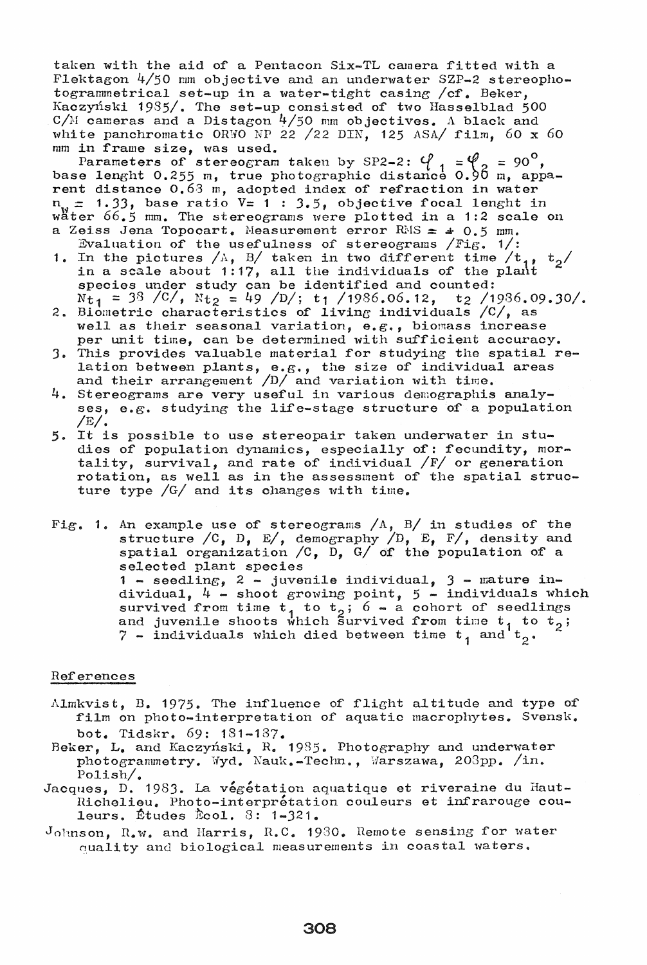taken with the aid of a Pentacon Six-TL camera fitted with a Flektagon 4/50 mm objective and an underwater SZP-2 stereophotogrammetrical set-up in a water-tight casing / cf. Beker, Kaczyński 1985/. The set-up consisted of two Hasselblad 500  $C/M$  cameras and a Distagon  $4/50$  mm objectives. A black and white panchromatic ORWO NP 22 /22 DIN, 125 ASA/ film, 60 x 60 mm in frame size, was used.

Parameters of stereogram taken by SP2-2:  $\varphi_1 = \varphi_2 = 90^\circ$ ,<br>base lenght 0.255 m, true photographic distance 0.96 m, appa-<br>rent distance 0.63 m, adopted index of refraction in water  $n_{\nu} = 1.33$ , base ratio  $\bar{v} = 1$  : 3.5, objective focal lenght in water  $66.5$  mm. The stereograms were plotted in a 1:2 scale on a Zeiss Jena Topocart. Measurement error RMS =  $\pm$  0.5 mm.

- Evaluation of the usefulness of stereograms  $/Fig$ . 1/: 1. In the pictures  $/\mathbb{A}$ , B/ taken in two different time  $/t_{11}$ ,  $t_2$ /<br>in a scale about 1:17, all the individuals of the plant species under study can be identified and counted:<br>Nt<sub>1</sub> = 38 /C/, Nt<sub>2</sub> = 49 /D/; t<sub>1</sub> /1986.06.12, t<sub>2</sub> /1986.09.30/.
- 2. Biometric characteristics of living individuals /C/, as well as their seasonal variation, e.g., biomass increase per unit time, can be determined with sufficient accuracy.
- 3. This provides valuable material for studying the spatial relation between plants, e.g., the size of individual areas and their arrangement  $/D/$  and variation with time.
- 4. Stereograms are very useful in various demographis analyses, e.g. studying the life-stage structure of a population  $/E/$ .
- 5. It is possible to use stereopair taken underwater in studies of population dynamics, especially of: fecundity, mor-<br>tality, survival, and rate of individual  $/F/$  or generation rotation, as well as in the assessment of the spatial structure type  $/G/$  and its changes with time.
- Fig. 1. An example use of stereograms  $/A$ , B/ in studies of the structure /C, D, E/, demography  $/D$ , E, F/, density and spatial organization /C, D, G/ of the population of a selected plant species 1 - seedling, 2 - juvenile individual, 3 - mature individual,  $4$  - shoot growing point,  $5$  - individuals which survived from time  $t_1$  to  $t_2$ ; 6 - a cohort of seedlings<br>and juvenile shoots which survived from time  $t_1$  to  $t_2$ ; 7 - individuals which died between time  $t_1$  and  $t_2$ .

## References

- Almkvist, B. 1975. The influence of flight altitude and type of film on photo-interpretation of aquatic macrophytes. Svensk. bot. Tidskr. 69: 181-187.
- Beker, L. and Kaczyński, R. 1985. Photography and underwater photogrammetry. Wyd. Nauk.-Techn., Warszawa, 203pp. /in. Polish $/$ .
- Jacques, D. 1983. La végétation aquatique et riveraine du Haut-Richelieu. Photo-interprétation couleurs et infrarouge couleurs. Études Écol.  $3: 1-321$ .
- Johnson, R.w. and Harris, R.C. 1930. Remote sensing for water quality and biological measurements in coastal waters.